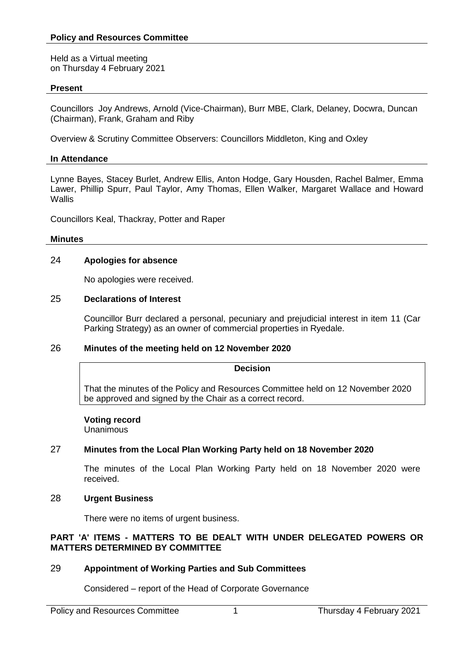Held as a Virtual meeting on Thursday 4 February 2021

#### **Present**

Councillors Joy Andrews, Arnold (Vice-Chairman), Burr MBE, Clark, Delaney, Docwra, Duncan (Chairman), Frank, Graham and Riby

Overview & Scrutiny Committee Observers: Councillors Middleton, King and Oxley

# **In Attendance**

Lynne Bayes, Stacey Burlet, Andrew Ellis, Anton Hodge, Gary Housden, Rachel Balmer, Emma Lawer, Phillip Spurr, Paul Taylor, Amy Thomas, Ellen Walker, Margaret Wallace and Howard **Wallis** 

Councillors Keal, Thackray, Potter and Raper

# **Minutes**

# 24 **Apologies for absence**

No apologies were received.

# 25 **Declarations of Interest**

Councillor Burr declared a personal, pecuniary and prejudicial interest in item 11 (Car Parking Strategy) as an owner of commercial properties in Ryedale.

# 26 **Minutes of the meeting held on 12 November 2020**

#### **Decision**

That the minutes of the Policy and Resources Committee held on 12 November 2020 be approved and signed by the Chair as a correct record.

# **Voting record**

Unanimous

# 27 **Minutes from the Local Plan Working Party held on 18 November 2020**

The minutes of the Local Plan Working Party held on 18 November 2020 were received.

# 28 **Urgent Business**

There were no items of urgent business.

# **PART 'A' ITEMS - MATTERS TO BE DEALT WITH UNDER DELEGATED POWERS OR MATTERS DETERMINED BY COMMITTEE**

# 29 **Appointment of Working Parties and Sub Committees**

Considered – report of the Head of Corporate Governance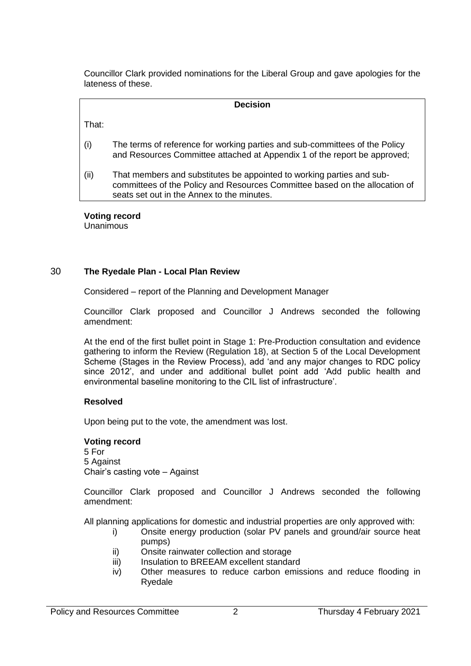Councillor Clark provided nominations for the Liberal Group and gave apologies for the lateness of these.

|       | <b>Decision</b>                                                                                                                                                                                    |
|-------|----------------------------------------------------------------------------------------------------------------------------------------------------------------------------------------------------|
| That: |                                                                                                                                                                                                    |
| (i)   | The terms of reference for working parties and sub-committees of the Policy<br>and Resources Committee attached at Appendix 1 of the report be approved;                                           |
| (ii)  | That members and substitutes be appointed to working parties and sub-<br>committees of the Policy and Resources Committee based on the allocation of<br>seats set out in the Annex to the minutes. |

#### **Voting record**

Unanimous

# 30 **The Ryedale Plan - Local Plan Review**

Considered – report of the Planning and Development Manager

Councillor Clark proposed and Councillor J Andrews seconded the following amendment:

At the end of the first bullet point in Stage 1: Pre-Production consultation and evidence gathering to inform the Review (Regulation 18), at Section 5 of the Local Development Scheme (Stages in the Review Process), add 'and any major changes to RDC policy since 2012', and under and additional bullet point add 'Add public health and environmental baseline monitoring to the CIL list of infrastructure'.

# **Resolved**

Upon being put to the vote, the amendment was lost.

#### **Voting record**

5 For 5 Against Chair's casting vote – Against

Councillor Clark proposed and Councillor J Andrews seconded the following amendment:

All planning applications for domestic and industrial properties are only approved with:

- i) Onsite energy production (solar PV panels and ground/air source heat pumps)
- ii) Onsite rainwater collection and storage
- iii) Insulation to BREEAM excellent standard
- iv) Other measures to reduce carbon emissions and reduce flooding in Ryedale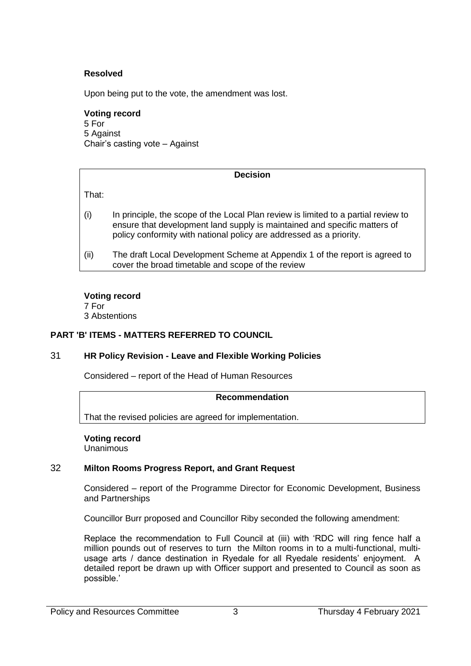# **Resolved**

Upon being put to the vote, the amendment was lost.

#### **Voting record**

5 For 5 Against Chair's casting vote – Against

#### **Decision**

That:

- (i) In principle, the scope of the Local Plan review is limited to a partial review to ensure that development land supply is maintained and specific matters of policy conformity with national policy are addressed as a priority.
- (ii) The draft Local Development Scheme at Appendix 1 of the report is agreed to cover the broad timetable and scope of the review

**Voting record** 7 For

3 Abstentions

# **PART 'B' ITEMS - MATTERS REFERRED TO COUNCIL**

# 31 **HR Policy Revision - Leave and Flexible Working Policies**

Considered – report of the Head of Human Resources

#### **Recommendation**

That the revised policies are agreed for implementation.

**Voting record** Unanimous

#### 32 **Milton Rooms Progress Report, and Grant Request**

Considered – report of the Programme Director for Economic Development, Business and Partnerships

Councillor Burr proposed and Councillor Riby seconded the following amendment:

Replace the recommendation to Full Council at (iii) with 'RDC will ring fence half a million pounds out of reserves to turn the Milton rooms in to a multi-functional, multiusage arts / dance destination in Ryedale for all Ryedale residents' enjoyment. A detailed report be drawn up with Officer support and presented to Council as soon as possible.'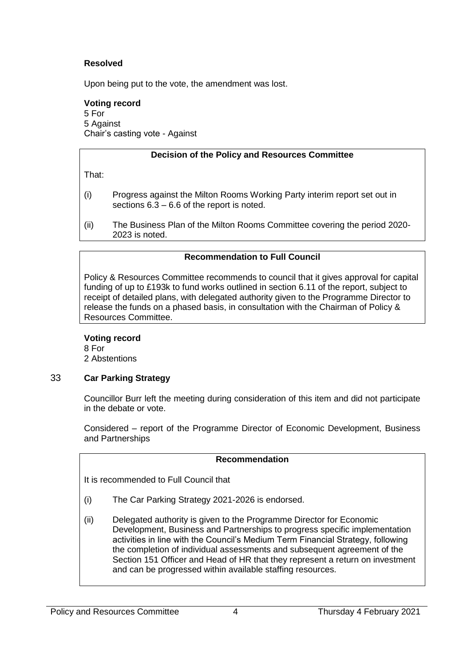# **Resolved**

Upon being put to the vote, the amendment was lost.

#### **Voting record**

5 For 5 Against Chair's casting vote - Against

# **Decision of the Policy and Resources Committee**

That:

- (i) Progress against the Milton Rooms Working Party interim report set out in sections 6.3 – 6.6 of the report is noted.
- (ii) The Business Plan of the Milton Rooms Committee covering the period 2020- 2023 is noted.

# **Recommendation to Full Council**

Policy & Resources Committee recommends to council that it gives approval for capital funding of up to £193k to fund works outlined in section 6.11 of the report, subject to receipt of detailed plans, with delegated authority given to the Programme Director to release the funds on a phased basis, in consultation with the Chairman of Policy & Resources Committee.

# **Voting record**

8 For 2 Abstentions

# 33 **Car Parking Strategy**

Councillor Burr left the meeting during consideration of this item and did not participate in the debate or vote.

Considered – report of the Programme Director of Economic Development, Business and Partnerships

#### **Recommendation**

It is recommended to Full Council that

- (i) The Car Parking Strategy 2021-2026 is endorsed.
- (ii) Delegated authority is given to the Programme Director for Economic Development, Business and Partnerships to progress specific implementation activities in line with the Council's Medium Term Financial Strategy, following the completion of individual assessments and subsequent agreement of the Section 151 Officer and Head of HR that they represent a return on investment and can be progressed within available staffing resources.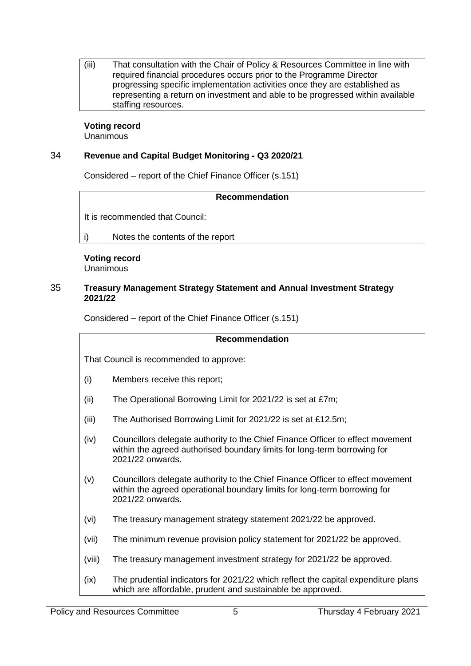(iii) That consultation with the Chair of Policy & Resources Committee in line with required financial procedures occurs prior to the Programme Director progressing specific implementation activities once they are established as representing a return on investment and able to be progressed within available staffing resources.

#### **Voting record** Unanimous

# 34 **Revenue and Capital Budget Monitoring - Q3 2020/21**

Considered – report of the Chief Finance Officer (s.151)

# **Recommendation**

It is recommended that Council:

i) Notes the contents of the report

# **Voting record**

Unanimous

#### 35 **Treasury Management Strategy Statement and Annual Investment Strategy 2021/22**

Considered – report of the Chief Finance Officer (s.151)

# **Recommendation**

That Council is recommended to approve:

- (i) Members receive this report;
- (ii) The Operational Borrowing Limit for 2021/22 is set at £7m;
- (iii) The Authorised Borrowing Limit for 2021/22 is set at £12.5m;
- (iv) Councillors delegate authority to the Chief Finance Officer to effect movement within the agreed authorised boundary limits for long-term borrowing for 2021/22 onwards.
- (v) Councillors delegate authority to the Chief Finance Officer to effect movement within the agreed operational boundary limits for long-term borrowing for 2021/22 onwards.
- (vi) The treasury management strategy statement 2021/22 be approved.
- (vii) The minimum revenue provision policy statement for 2021/22 be approved.
- (viii) The treasury management investment strategy for 2021/22 be approved.
- (ix) The prudential indicators for 2021/22 which reflect the capital expenditure plans which are affordable, prudent and sustainable be approved.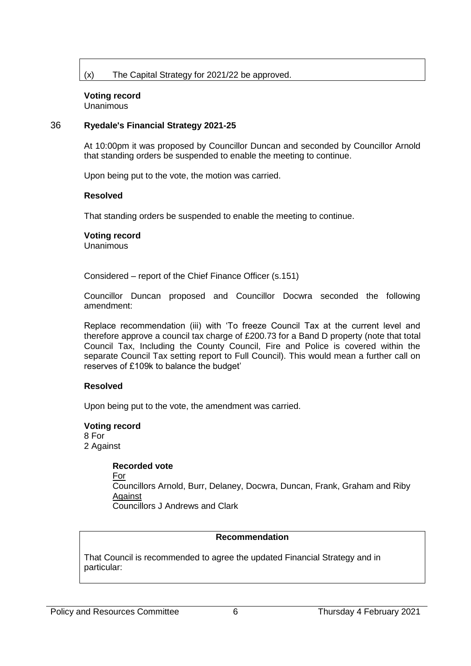# (x) The Capital Strategy for 2021/22 be approved.

# **Voting record**

Unanimous

#### 36 **Ryedale's Financial Strategy 2021-25**

At 10:00pm it was proposed by Councillor Duncan and seconded by Councillor Arnold that standing orders be suspended to enable the meeting to continue.

Upon being put to the vote, the motion was carried.

#### **Resolved**

That standing orders be suspended to enable the meeting to continue.

# **Voting record**

Unanimous

Considered – report of the Chief Finance Officer (s.151)

Councillor Duncan proposed and Councillor Docwra seconded the following amendment:

Replace recommendation (iii) with 'To freeze Council Tax at the current level and therefore approve a council tax charge of £200.73 for a Band D property (note that total Council Tax, Including the County Council, Fire and Police is covered within the separate Council Tax setting report to Full Council). This would mean a further call on reserves of £109k to balance the budget'

# **Resolved**

Upon being put to the vote, the amendment was carried.

#### **Voting record**

8 For 2 Against

#### **Recorded vote**

For

Councillors Arnold, Burr, Delaney, Docwra, Duncan, Frank, Graham and Riby Against Councillors J Andrews and Clark

# **Recommendation**

That Council is recommended to agree the updated Financial Strategy and in particular: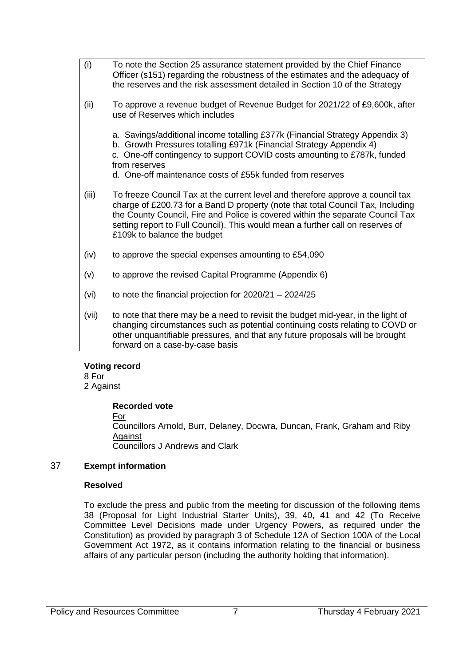(i) To note the Section 25 assurance statement provided by the Chief Finance Officer (s151) regarding the robustness of the estimates and the adequacy of the reserves and the risk assessment detailed in Section 10 of the Strategy (ii) To approve a revenue budget of Revenue Budget for 2021/22 of £9,600k, after use of Reserves which includes a. Savings/additional income totalling £377k (Financial Strategy Appendix 3) b. Growth Pressures totalling £971k (Financial Strategy Appendix 4) c. One-off contingency to support COVID costs amounting to £787k, funded from reserves d. One-off maintenance costs of £55k funded from reserves (iii) To freeze Council Tax at the current level and therefore approve a council tax charge of £200.73 for a Band D property (note that total Council Tax, Including the County Council, Fire and Police is covered within the separate Council Tax setting report to Full Council). This would mean a further call on reserves of £109k to balance the budget  $(iv)$  to approve the special expenses amounting to £54,090 (v) to approve the revised Capital Programme (Appendix 6) (vi) to note the financial projection for  $2020/21 - 2024/25$ (vii) to note that there may be a need to revisit the budget mid-year, in the light of changing circumstances such as potential continuing costs relating to COVD or other unquantifiable pressures, and that any future proposals will be brought forward on a case-by-case basis

# **Voting record**

8 For 2 Against

# **Recorded vote**

For

Councillors Arnold, Burr, Delaney, Docwra, Duncan, Frank, Graham and Riby Against Councillors J Andrews and Clark

# 37 **Exempt information**

# **Resolved**

To exclude the press and public from the meeting for discussion of the following items 38 (Proposal for Light Industrial Starter Units), 39, 40, 41 and 42 (To Receive Committee Level Decisions made under Urgency Powers, as required under the Constitution) as provided by paragraph 3 of Schedule 12A of Section 100A of the Local Government Act 1972, as it contains information relating to the financial or business affairs of any particular person (including the authority holding that information).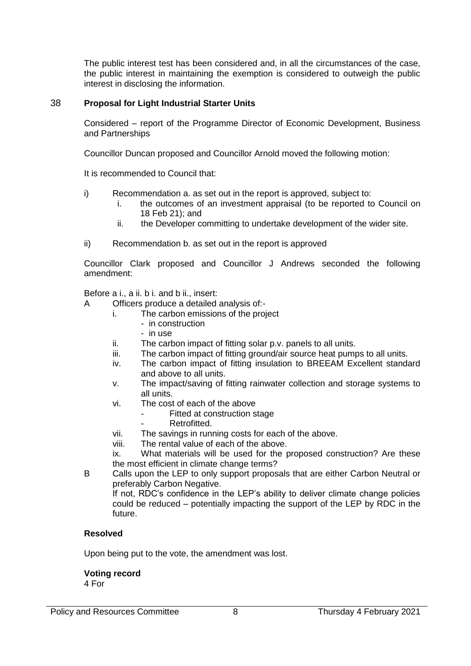The public interest test has been considered and, in all the circumstances of the case, the public interest in maintaining the exemption is considered to outweigh the public interest in disclosing the information.

# 38 **Proposal for Light Industrial Starter Units**

Considered – report of the Programme Director of Economic Development, Business and Partnerships

Councillor Duncan proposed and Councillor Arnold moved the following motion:

It is recommended to Council that:

- i) Recommendation a. as set out in the report is approved, subject to:
	- i. the outcomes of an investment appraisal (to be reported to Council on 18 Feb 21); and
	- ii. the Developer committing to undertake development of the wider site.
- ii) Recommendation b. as set out in the report is approved

Councillor Clark proposed and Councillor J Andrews seconded the following amendment:

Before a i., a ii. b i. and b ii., insert:

- A Officers produce a detailed analysis of:
	- i. The carbon emissions of the project
		- in construction
		- in use
	- ii. The carbon impact of fitting solar p.v. panels to all units.
	- iii. The carbon impact of fitting ground/air source heat pumps to all units.
	- iv. The carbon impact of fitting insulation to BREEAM Excellent standard and above to all units.
	- v. The impact/saving of fitting rainwater collection and storage systems to all units.
	- vi. The cost of each of the above
		- Fitted at construction stage
		- Retrofitted.
	- vii. The savings in running costs for each of the above.
	- viii. The rental value of each of the above.

ix. What materials will be used for the proposed construction? Are these the most efficient in climate change terms?

B Calls upon the LEP to only support proposals that are either Carbon Neutral or preferably Carbon Negative.

If not, RDC's confidence in the LEP's ability to deliver climate change policies could be reduced – potentially impacting the support of the LEP by RDC in the future.

# **Resolved**

Upon being put to the vote, the amendment was lost.

# **Voting record**

4 For